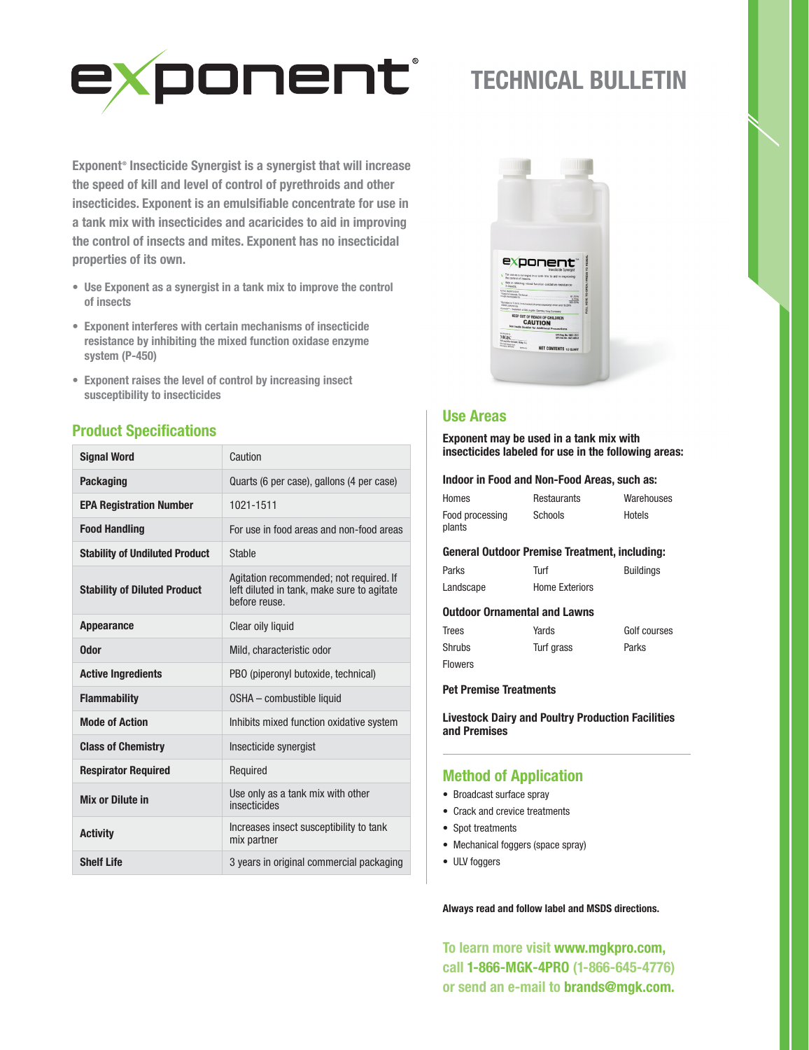

# **TECHNICAL BULLETIN**

**Exponent® Insecticide Synergist is a synergist that will increase the speed of kill and level of control of pyrethroids and other insecticides. Exponent is an emulsifiable concentrate for use in a tank mix with insecticides and acaricides to aid in improving the control of insects and mites. Exponent has no insecticidal properties of its own.**

- **Use Exponent as a synergist in a tank mix to improve the control of insects**
- **Exponent interferes with certain mechanisms of insecticide resistance by inhibiting the mixed function oxidase enzyme system (P-450)**
- **Exponent raises the level of control by increasing insect susceptibility to insecticides**

#### **Product Specifications**

| <b>Signal Word</b>                    | Caution                                                                                                |
|---------------------------------------|--------------------------------------------------------------------------------------------------------|
| <b>Packaging</b>                      | Quarts (6 per case), gallons (4 per case)                                                              |
| <b>EPA Registration Number</b>        | 1021-1511                                                                                              |
| <b>Food Handling</b>                  | For use in food areas and non-food areas                                                               |
| <b>Stability of Undiluted Product</b> | <b>Stable</b>                                                                                          |
| <b>Stability of Diluted Product</b>   | Agitation recommended; not required. If<br>left diluted in tank, make sure to agitate<br>before reuse. |
| <b>Appearance</b>                     | Clear oily liquid                                                                                      |
| <b>Odor</b>                           | Mild, characteristic odor                                                                              |
| <b>Active Ingredients</b>             | PBO (piperonyl butoxide, technical)                                                                    |
| <b>Flammability</b>                   | OSHA - combustible liquid                                                                              |
| <b>Mode of Action</b>                 | Inhibits mixed function oxidative system                                                               |
| <b>Class of Chemistry</b>             | Insecticide synergist                                                                                  |
| <b>Respirator Required</b>            | Required                                                                                               |
| Mix or Dilute in                      | Use only as a tank mix with other<br>insecticides                                                      |
| <b>Activity</b>                       | Increases insect susceptibility to tank<br>mix partner                                                 |
| <b>Shelf Life</b>                     | 3 years in original commercial packaging                                                               |

exponent **CPA Reg. No. 1821-1511**<br>EPA Eat No. 1821-1511 TENTS<sub>10</sub>

## **Use Areas**

**Exponent may be used in a tank mix with insecticides labeled for use in the following areas:**

#### **Indoor in Food and Non-Food Areas, such as:**

| Homes                     | Restaurants | Warehouses |
|---------------------------|-------------|------------|
| Food processing<br>plants | Schools     | Hotels     |

#### **General Outdoor Premise Treatment, including:**

| Parks     | Turf                  | <b>Buildings</b> |
|-----------|-----------------------|------------------|
| Landscape | <b>Home Exteriors</b> |                  |

Yards Turf grass

#### **Outdoor Ornamental and Lawns**

| Trees          |  |
|----------------|--|
| Shrubs         |  |
| <b>Flowers</b> |  |

Golf courses Parks

#### **Pet Premise Treatments**

**Livestock Dairy and Poultry Production Facilities and Premises**

#### **Method of Application**

- Broadcast surface spray
- Crack and crevice treatments
- Spot treatments
- Mechanical foggers (space spray)
- ULV foggers

**Always read and follow label and MSDS directions.**

**To learn more visit www.mgkpro.com, call 1-866-MGK-4PRO (1-866-645-4776) or send an e-mail to brands@mgk.com.**